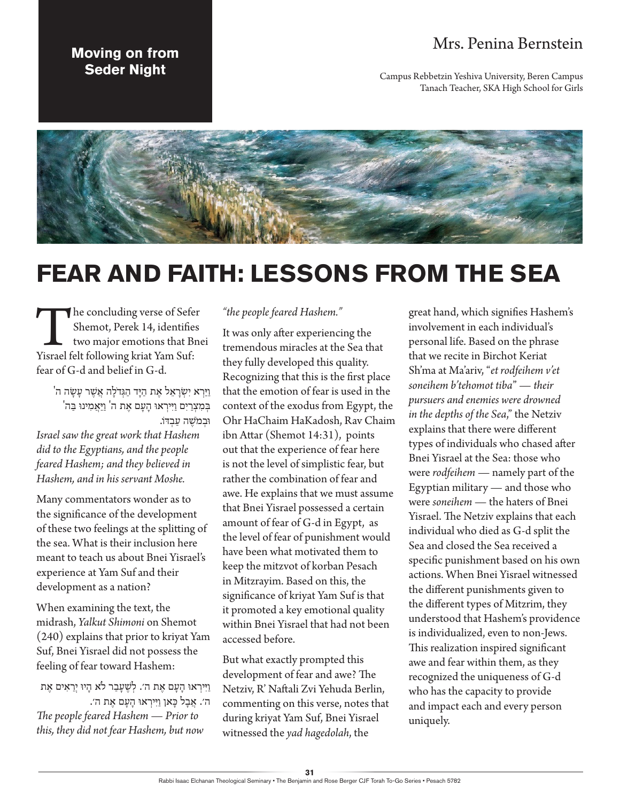## Mrs. Penina Bernstein

Campus Rebbetzin Yeshiva University, Beren Campus Tanach Teacher, SKA High School for Girls

## **Moving on from Seder Night**



## **FEAR AND FAITH: LESSONS FROM THE SEA**

The concluding verse of Sefer<br>
Shemot, Perek 14, identifies<br>
two major emotions that Bne<br>
Yisrael felt following kriat Yam Suf: Shemot, Perek 14, identifies two major emotions that Bnei fear of G-d and belief in G-d.

וַ יַ רְ א יִ שְ רָ אֵ ל אֶ ת הַ ָיד הַ גְ דֹלָ ה אֲ שֶ ר עָ שָ ה ה' ' בְּמִצְרַיִם וַיִּירְאוּ הָעָם אֶת ה<sup>'</sup> וַיַּאֲמִינוּ בַּה וּב*מֹש*ָה עִבְדֹו.

*Israel saw the great work that Hashem did to the Egyptians, and the people feared Hashem; and they believed in Hashem, and in his servant Moshe.*

Many commentators wonder as to the significance of the development of these two feelings at the splitting of the sea. What is their inclusion here meant to teach us about Bnei Yisrael's experience at Yam Suf and their development as a nation?

When examining the text, the midrash, *Yalkut Shimoni* on Shemot (240) explains that prior to kriyat Yam Suf, Bnei Yisrael did not possess the feeling of fear toward Hashem:

וַ ּיִ ירְ אּו הָ עָ ם אֶ ת ה׳. לְ ׁשֶ עָ בַ ר לֹא הָ יּו יְרֵ אִ ים אֶ ת ה׳. אֲ בָ ל ּכָ אן וַ ּיִ ירְ אּו הָ עָ ם אֶ ת ה׳. *The people feared Hashem — Prior to this, they did not fear Hashem, but now* 

## *"the people feared Hashem."*

It was only after experiencing the tremendous miracles at the Sea that they fully developed this quality. Recognizing that this is the first place that the emotion of fear is used in the context of the exodus from Egypt, the Ohr HaChaim HaKadosh, Rav Chaim ibn Attar (Shemot 14:31), points out that the experience of fear here is not the level of simplistic fear, but rather the combination of fear and awe. He explains that we must assume that Bnei Yisrael possessed a certain amount of fear of G-d in Egypt, as the level of fear of punishment would have been what motivated them to keep the mitzvot of korban Pesach in Mitzrayim. Based on this, the significance of kriyat Yam Suf is that it promoted a key emotional quality within Bnei Yisrael that had not been accessed before.

But what exactly prompted this development of fear and awe? The Netziv, R' Naftali Zvi Yehuda Berlin, commenting on this verse, notes that during kriyat Yam Suf, Bnei Yisrael witnessed the *yad hagedolah*, the

great hand, which signifies Hashem's involvement in each individual's personal life. Based on the phrase that we recite in Birchot Keriat Sh'ma at Ma'ariv, "*et rodfeihem v'et soneihem b'tehomot tiba*" — *their pursuers and enemies were drowned in the depths of the Sea*," the Netziv explains that there were different types of individuals who chased after Bnei Yisrael at the Sea: those who were *rodfeihem* — namely part of the Egyptian military — and those who were *soneihem* — the haters of Bnei Yisrael. The Netziv explains that each individual who died as G-d split the Sea and closed the Sea received a specific punishment based on his own actions. When Bnei Yisrael witnessed the different punishments given to the different types of Mitzrim, they understood that Hashem's providence is individualized, even to non-Jews. This realization inspired significant awe and fear within them, as they recognized the uniqueness of G-d who has the capacity to provide and impact each and every person uniquely.